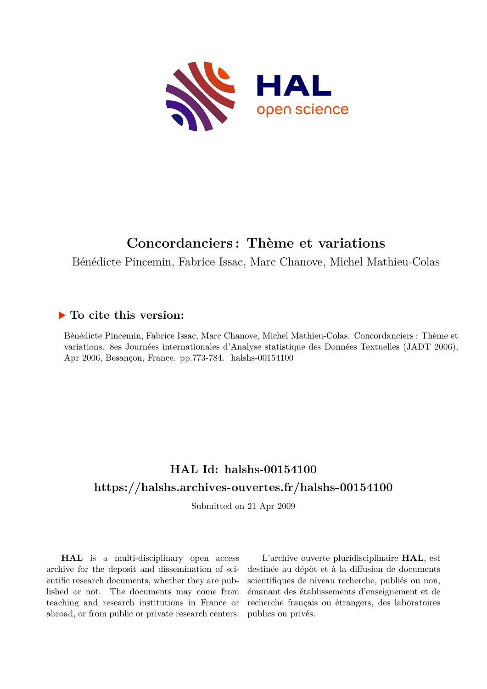

#### **Concordanciers : Thème et variations**

Bénédicte Pincemin, Fabrice Issac, Marc Chanove, Michel Mathieu-Colas

#### **To cite this version:**

Bénédicte Pincemin, Fabrice Issac, Marc Chanove, Michel Mathieu-Colas. Concordanciers : Thème et variations. 8es Journées internationales d'Analyse statistique des Données Textuelles (JADT 2006), Apr 2006, Besançon, France. pp.773-784. halshs-00154100

#### **HAL Id: halshs-00154100 <https://halshs.archives-ouvertes.fr/halshs-00154100>**

Submitted on 21 Apr 2009

**HAL** is a multi-disciplinary open access archive for the deposit and dissemination of scientific research documents, whether they are published or not. The documents may come from teaching and research institutions in France or abroad, or from public or private research centers.

L'archive ouverte pluridisciplinaire **HAL**, est destinée au dépôt et à la diffusion de documents scientifiques de niveau recherche, publiés ou non, émanant des établissements d'enseignement et de recherche français ou étrangers, des laboratoires publics ou privés.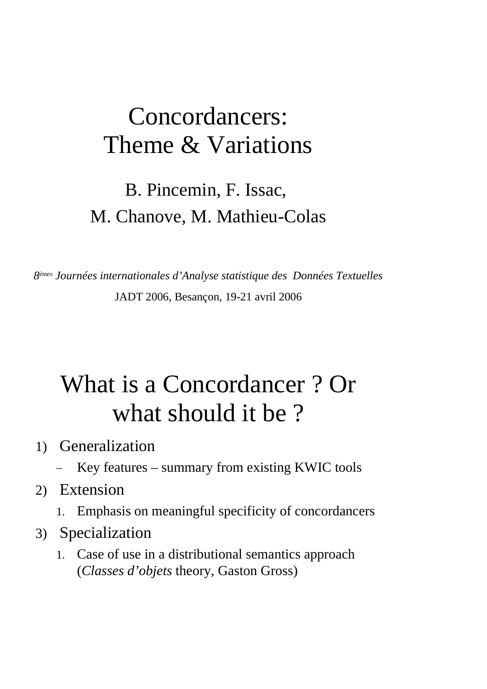#### Concordancers: Theme & Variations

#### B. Pincemin, F. Issac, M. Chanove, M. Mathieu-Colas

*8 èmes Journées internationales d'Analyse statistique des Données Textuelles* JADT 2006, Besançon, 19-21 avril 2006

### What is <sup>a</sup> Concordancer ? Or what should it be?

- 1) Generalization
	- Key features summary from existing KWIC tools
- 2) Extension
	- 1. Emphasis on meaningful specificity of concordancers
- 3) Specialization
	- 1. Case of use in <sup>a</sup> distributional semantics approach (*Classes d'objets* theory, Gaston Gross)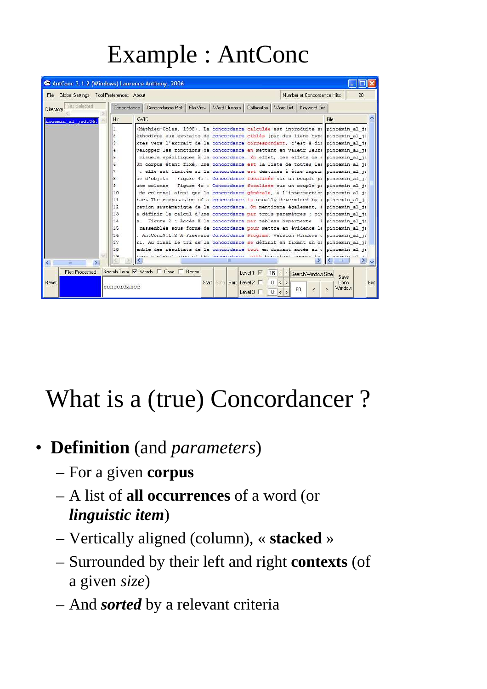## Example : AntConc

|                                                | AntConc 3.1.2 (Windows) Laurence Anthony, 2006                                                                                                                                                                                                                                                                                                                                                                                                                                                                                                                                                                                                                                                                                                                                                                                                                                                                                                                                                                                                                                                                                                                                                                                                                                                                                                                                                                                                                                                                                                       |                                |
|------------------------------------------------|------------------------------------------------------------------------------------------------------------------------------------------------------------------------------------------------------------------------------------------------------------------------------------------------------------------------------------------------------------------------------------------------------------------------------------------------------------------------------------------------------------------------------------------------------------------------------------------------------------------------------------------------------------------------------------------------------------------------------------------------------------------------------------------------------------------------------------------------------------------------------------------------------------------------------------------------------------------------------------------------------------------------------------------------------------------------------------------------------------------------------------------------------------------------------------------------------------------------------------------------------------------------------------------------------------------------------------------------------------------------------------------------------------------------------------------------------------------------------------------------------------------------------------------------------|--------------------------------|
| Global Settings Tool Preferences About<br>File | Number of Concordance Hits:                                                                                                                                                                                                                                                                                                                                                                                                                                                                                                                                                                                                                                                                                                                                                                                                                                                                                                                                                                                                                                                                                                                                                                                                                                                                                                                                                                                                                                                                                                                          | 20                             |
| Files Selected<br>Directory                    | Concordance Plot   File View   Word Clusters   Collocates   Word List   Keyword List<br>Concordance                                                                                                                                                                                                                                                                                                                                                                                                                                                                                                                                                                                                                                                                                                                                                                                                                                                                                                                                                                                                                                                                                                                                                                                                                                                                                                                                                                                                                                                  |                                |
| incemin al jadt06.                             | KWIC<br>Hit                                                                                                                                                                                                                                                                                                                                                                                                                                                                                                                                                                                                                                                                                                                                                                                                                                                                                                                                                                                                                                                                                                                                                                                                                                                                                                                                                                                                                                                                                                                                          | File                           |
|                                                | (Mathieu-Colas, 1998). La concordance calculée est introduite sy pincemin al ja<br>$\mathbf{1}$<br>2<br>éthodique aux extraits de concordance ciblés (par des liens hype pincemin al ja<br>3<br>xtes vers l'extrait de la concordance correspondant, c'est-à-di: pincemin al ja<br>velopper les fonctions de concordance en mettant en valeur leur: pincemin al ja<br>visuels spécifiques à la concordance. En effet, ces effets de : pincemin al ja<br>5<br>Un corpus étant fixé, une concordance est la liste de toutes le   pincemin al ja<br>: elle est limitée si la concordance est destinée à être imprir pincemin al ja<br>se d'objets - Fiqure 4a : Concordance focalisée sur un couple p: pincemin al ja<br>8<br>Figure 4b : Concordance focalisée sur un couple p: pincemin al ja<br>9<br>une colonne<br>de colonne) ainsi que la concordance générale, à l'intersection pincemin al ja<br>10<br>11<br>ract The computation of a concordance is usually determined by : pincemin al ja<br>12<br>ration systématique de la concordance. On mentionne également, i pincemin al ja<br>e définir le calcul d'une concordance par trois paramètres : pi pincemin al ja<br>13<br>14<br>s. Figure 2 : Accès à la concordance par tableau hypertexte :   pincemin al ja<br>15<br>rassemblés sous forme de concordance pour mettre en évidence le pincemin al ja<br>. AntConc3.1.2 A Freeware Concordance Program. Version Windows ( pincemin al ja<br>16<br>17<br>ri. Au final le tri de la concordance se définit en fixant un o: pincemin al ja |                                |
| ∢<br><b>THE</b>                                | emble des résultats de la concordance tout en donnant accès au «   pincemin al ja<br>18<br>wing of the concerdence with humertout                                                                                                                                                                                                                                                                                                                                                                                                                                                                                                                                                                                                                                                                                                                                                                                                                                                                                                                                                                                                                                                                                                                                                                                                                                                                                                                                                                                                                    |                                |
| <b>Files Processed</b><br>Reset                | Search Term V Words Case F Regex<br>1R < > Search Window Size<br>Level $1 \nabla$<br>Sort Level 2<br>Start<br>Stop <sup>1</sup><br>$\Omega$<br>$\langle$<br>$\rightarrow$<br>concordance<br>50<br>$\overline{\left\langle \right\rangle }$<br>Level $3$<br>$\mathbf{0}$                                                                                                                                                                                                                                                                                                                                                                                                                                                                                                                                                                                                                                                                                                                                                                                                                                                                                                                                                                                                                                                                                                                                                                                                                                                                              | Save<br>Exit<br>Conc<br>Window |

# What is <sup>a</sup> (true) Concordancer ?

#### • **Definition** (and *parameters*)

- –For <sup>a</sup> given **corpus**
- A list of **all occurrences** of <sup>a</sup> word (or *linguistic item*)
- Vertically aligned (column), « **stacked** »
- – Surrounded by their left and right **contexts** (of <sup>a</sup> given *size*)
- And *sorted* by <sup>a</sup> relevant criteria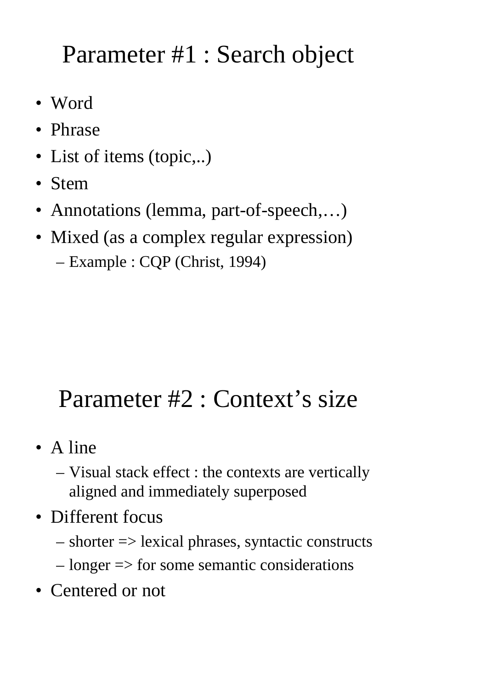## Parameter #1 : Search object

- Word
- Phrase
- List of items (topic,..)
- Stem
- Annotations (lemma, part-of-speech,...)
- Mixed (as a complex regular expression) –Example : CQP (Christ, 1994)

## Parameter #2 : Context's size

- A line
	- – Visual stack effect : the contexts are vertically aligned and immediately superposed
- Different focus
	- –shorter => lexical phrases, syntactic constructs
	- $l$  longer  $\Rightarrow$  for some semantic considerations
- Centered or not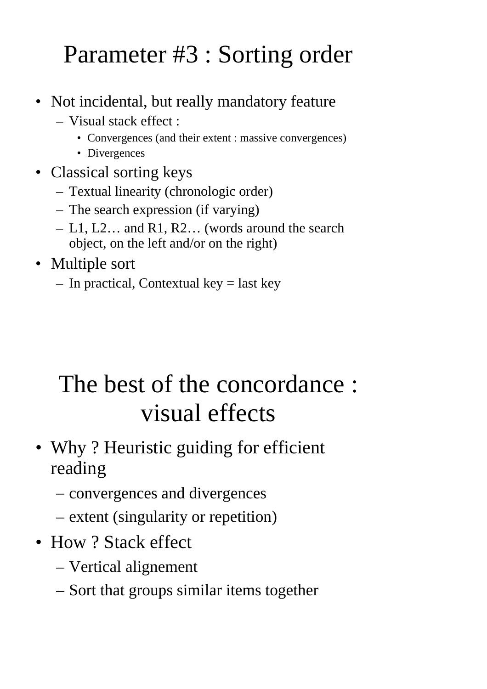## Parameter #3 : Sorting order

- Not incidental, but really mandatory feature
	- Visual stack effect :
		- Convergences (and their extent : massive convergences)
		- Divergences
- Classical sorting keys
	- Textual linearity (chronologic order)
	- The search expression (if varying)
	- L1, L2… and R1, R2… (words around the search object, on the left and/or on the right)
- Multiple sort
	- In practical, Contextual key <sup>=</sup> last key

## The best of the concordance : visual effects

- Why ? Heuristic guiding for efficient reading
	- –convergences and divergences
	- –– extent (singularity or repetition)
- How ? Stack effect
	- –Vertical alignement
	- –- Sort that groups similar items together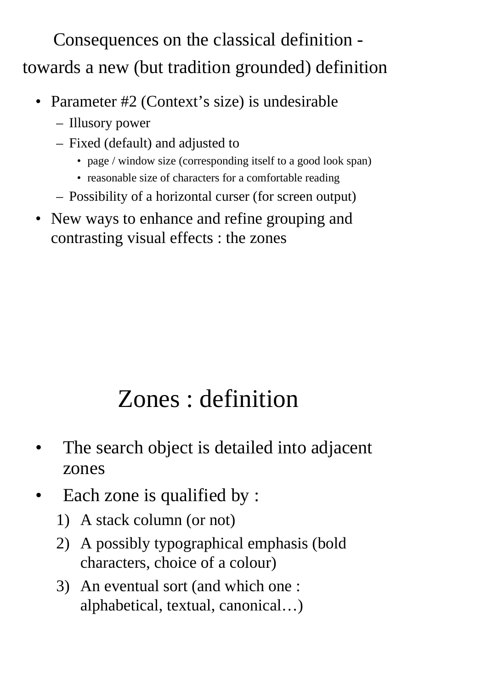Consequences on the classical definition towards <sup>a</sup> new (but tradition grounded) definition

- Parameter #2 (Context's size) is undesirable
	- Illusory power
	- Fixed (default) and adjusted to
		- page / window size (corresponding itself to a good look span)
		- reasonable size of characters for a comfortable reading
	- Possibility of <sup>a</sup> horizontal curser (for screen output)
- New ways to enhance and refine grouping and contrasting visual effects : the zones

# Zones : definition

- • The search object is detailed into adjacent zones
- • Each zone is qualified by :
	- 1) A stack column (or not)
	- 2) A possibly typographical emphasis (bold characters, choice of <sup>a</sup> colour)
	- 3) An eventual sort (and which one : alphabetical, textual, canonical…)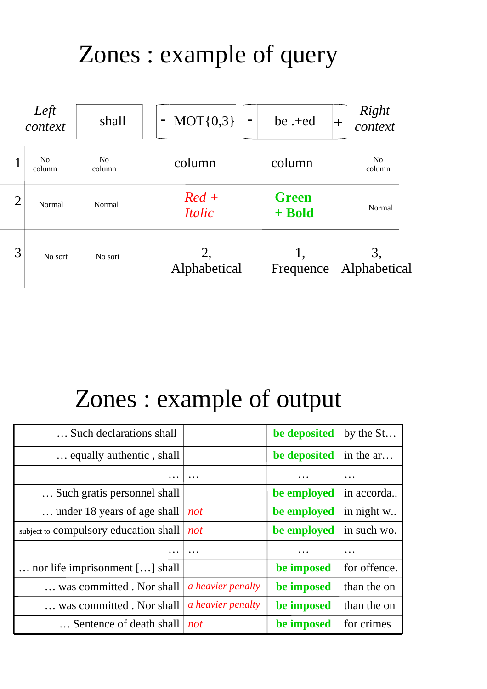## Zones : example of query



### Zones : example of output

| Such declarations shall               |                          | be deposited | by the St    |
|---------------------------------------|--------------------------|--------------|--------------|
| equally authentic, shall              |                          | be deposited | in the ar    |
|                                       | $\cdots$                 |              | $\cdots$     |
| Such gratis personnel shall           |                          | be employed  | in accorda   |
| under 18 years of age shall           | not                      | be employed  | in night w   |
| subject to compulsory education shall | not                      | be employed  | in such wo.  |
| $\ddotsc$                             | $\ddotsc$                | $\cdots$     | $\cdots$     |
| nor life imprisonment [] shall        |                          | be imposed   | for offence. |
| was committed . Nor shall             | a heavier penalty        | be imposed   | than the on  |
| was committed . Nor shall             | <i>a heavier penalty</i> | be imposed   | than the on  |
| Sentence of death shall               | not                      | be imposed   | for crimes   |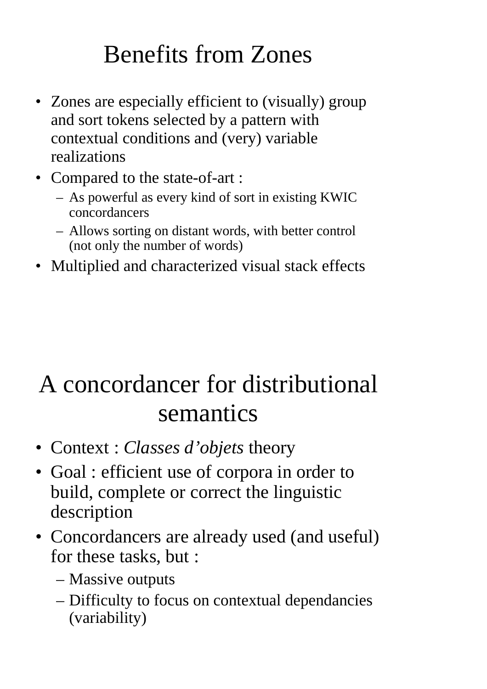## Benefits from Zones

- Zones are especially efficient to (visually) group and sort tokens selected by <sup>a</sup> pattern with contextual conditions and (very) variable realizations
- Compared to the state-of-art :
	- As powerful as every kind of sort in existing KWIC concordancers
	- Allows sorting on distant words, with better control (not only the number of words)
- Multiplied and characterized visual stack effects

## A concordancer for distributional semantics

- Context : *Classes d'objets* theory
	- $\bullet$  Goal : efficient use of corpora in order to build, complete or correct the linguistic description
- Concordancers are already used (and useful) for these tasks, but :
	- Massive outputs
	- – Difficulty to focus on contextual dependancies (variability)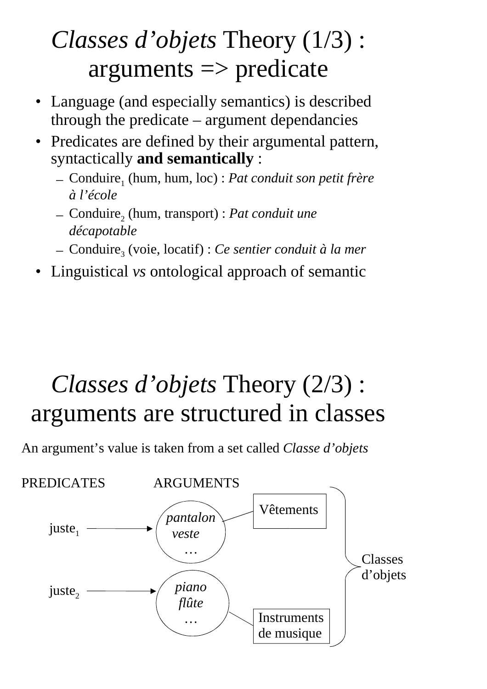## *Classes d'objets* Theory (1/3) :  $arguments \implies$  predicate

- Language (and especially semantics) is described through the predicate – argumen<sup>t</sup> dependancies
- $\bullet$  Predicates are defined by their argumental pattern, syntactically **and semantically** :
	- Conduire<sup>1</sup> (hum, hum, loc) : *Pat conduit son petit frère à l'école*
	- $-$  Conduire<sub>2</sub> (hum, transport) : *Pat conduit une décapotable*
	- Conduire<sup>3</sup> (voie, locatif) : *Ce sentier conduit à la mer*
- •Linguistical *vs* ontological approach of semantic

## *Classes d'objets* Theory (2/3) : arguments are structured in classes

An argument's value is taken from <sup>a</sup> set called *Classe d'objets*

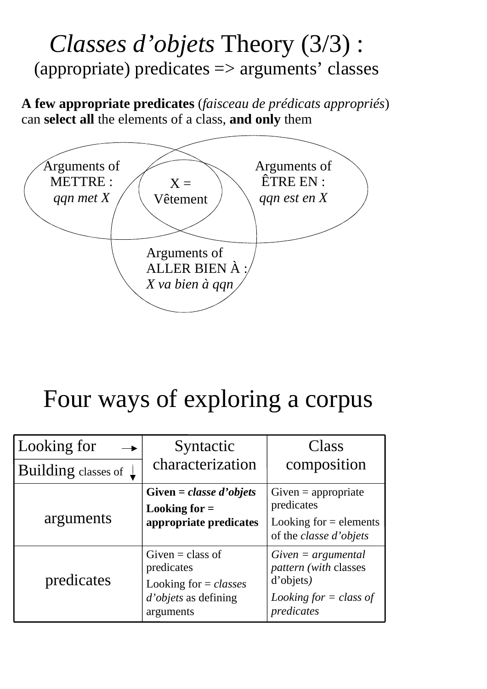#### *Classes d'objets* Theory (3/3) : (appropriate) predicates => arguments' classes

**A few appropriate predicates** (*faisceau de prédicats appropriés*) can **select all** the elements of <sup>a</sup> class, **and only** them



## Four ways of exploring <sup>a</sup> corpus

| Looking for                      | Syntactic                                                                                        | Class                                                                                                |
|----------------------------------|--------------------------------------------------------------------------------------------------|------------------------------------------------------------------------------------------------------|
| Building classes of $\downarrow$ | characterization                                                                                 | composition                                                                                          |
| arguments                        | Given = classe d'objets<br>Looking for $=$<br>appropriate predicates                             | $Given = appropriate$<br>predicates<br>Looking for $=$ elements<br>of the <i>classe d'objets</i>     |
| predicates                       | Given $=$ class of<br>predicates<br>Looking for $= classes$<br>d'objets as defining<br>arguments | $Given = argumental$<br>pattern (with classes<br>d'objets)<br>Looking for $=$ class of<br>predicates |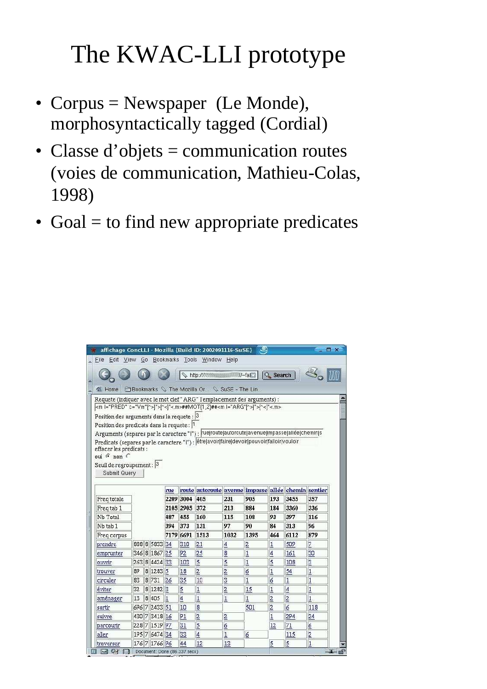# The KWAC-LLI prototype

- Corpus = Newspaper (Le Monde), morphosyntactically tagged (Cordial)
- Classe d'objets = communication routes (voies de communication, Mathieu-Colas, 1998)
- Goal = to find new appropriate predicates

|                                                                                                                |    |               |      |      | affichage ConcLLI - Mozilla (Build ID: 2002091116-SuSE) |                      | -9             |                                  |                | - 0 x          |
|----------------------------------------------------------------------------------------------------------------|----|---------------|------|------|---------------------------------------------------------|----------------------|----------------|----------------------------------|----------------|----------------|
| File                                                                                                           |    |               |      |      | Edit View Go Bookmarks Tools Window Help                |                      |                |                                  |                |                |
|                                                                                                                |    |               |      |      |                                                         |                      | Q.             | Search                           |                |                |
| 全 Home                                                                                                         |    |               |      |      | Bookmarks \ The Mozilla Or \ SuSE - The Lin             |                      |                |                                  |                |                |
| Requete (indiquer avec le mot clef "ARG" l'emplacement des arguments) :                                        |    |               |      |      |                                                         |                      |                |                                  |                |                |
| <m [^="" c="Vm" l="PRED">]*&gt;[^&lt;]*&lt;.m&gt;##MOT{1,2}##<m [^="" l="ARG">]*&gt;[^&lt;]*&lt;.m&gt;</m></m> |    |               |      |      |                                                         |                      |                |                                  |                |                |
| Position des arguments dans la requete : $ 3 $                                                                 |    |               |      |      |                                                         |                      |                |                                  |                |                |
| Position des predicats dans la requete :  1                                                                    |    |               |      |      |                                                         |                      |                |                                  |                |                |
| Arguments (separes par le caractere " ") : rue route autoroute avenue impasse allée chemin s                   |    |               |      |      |                                                         |                      |                |                                  |                |                |
| Predicats (separes par le caractere " ") ;   être [avoir faire devoir pouvoir falloir vouloir                  |    |               |      |      |                                                         |                      |                |                                  |                |                |
| effacer les predicats :<br>oui G non                                                                           |    |               |      |      |                                                         |                      |                |                                  |                |                |
| Seuil de regroupement : 3                                                                                      |    |               |      |      |                                                         |                      |                |                                  |                |                |
| Submit Query                                                                                                   |    |               |      |      |                                                         |                      |                |                                  |                |                |
|                                                                                                                |    |               |      |      |                                                         |                      |                |                                  |                |                |
|                                                                                                                |    |               | rue  |      | route autoroute avenue impasse allée chemin sentier     |                      |                |                                  |                |                |
|                                                                                                                |    |               |      |      |                                                         |                      |                |                                  |                |                |
| Freq totale                                                                                                    |    |               | 2209 | 3004 | 405                                                     | 231                  | 905            | 193                              | 3455           | 357            |
| Freq tab 1                                                                                                     |    |               | 2105 | 2905 | 372                                                     | 213                  | 884            | 184                              | 3360           | 336            |
| Nb Total                                                                                                       |    |               | 487  | 455  | 160                                                     | 115                  | 108            | 93                               | 397            | 116            |
| Nb tab 1                                                                                                       |    |               | 394  | 373  | 131                                                     | 97                   | 90             | 84                               | 313            | 96             |
|                                                                                                                |    |               | 7179 | 6691 | 1513                                                    | 1032                 | 1395           | 464                              | 6112           | 879            |
| Freq corpus<br>prendre                                                                                         |    | 888 8 5833    | 34   | 310  | 21                                                      | $\overline{4}$       | $\overline{c}$ | $\vert$ 1                        | 509            | 7              |
| emprunter                                                                                                      |    | 346 8 1867    | 25   | 92   | 25                                                      | 8                    | $\mathbf{1}$   | $\vert$ 4                        | 161            | 30             |
| ouvrir                                                                                                         |    | 263 8 4424 33 |      | 103  | $\overline{5}$                                          | $\overline{5}$       | $\mathbf{1}$   | 5                                | 108            | $\overline{3}$ |
| trouver                                                                                                        | 89 | 8 1283 5      |      | 18   | $\overline{2}$                                          | $\overline{2}$       | 6              | $\mathbf{1}$                     | 54             | $\mathbf{1}$   |
| circuler                                                                                                       | 83 | 8 731         | 26   | 35   | 10                                                      | $\overline{3}$       | $\mathbf{1}$   | 6                                | $\mathbf{1}$   | $\overline{1}$ |
| éviter                                                                                                         | 32 | 8 1282 3      |      | 5    |                                                         |                      | 15             | $\overline{1}$                   | $\vert$ 4      | $\overline{1}$ |
| aménager                                                                                                       | 13 | 8 4 0 5       | 1    | 4    | $\overline{1}$<br>$\overline{1}$                        | $\overline{2}$<br> 1 | $\mathbf{1}$   |                                  | $\overline{2}$ | 1              |
| sortir                                                                                                         |    | 696 7 2433 51 |      | 10   | 8                                                       |                      | 501            | $\overline{2}$<br>$\overline{2}$ | 6              | 118            |
| suivre                                                                                                         |    | 430 7 3418 16 |      | 91   | $\overline{2}$                                          | $\overline{2}$       |                | $\overline{1}$                   | 294            | 24             |
| parcourir                                                                                                      |    | 228 7 1519 97 |      | 31   | 5                                                       | 6                    |                | 12                               | 71             | 6              |
| aller                                                                                                          |    | 195 7 6474 34 |      | 33   | $\vert$ 4                                               | $\overline{1}$       | 6              |                                  | 115            | $\overline{2}$ |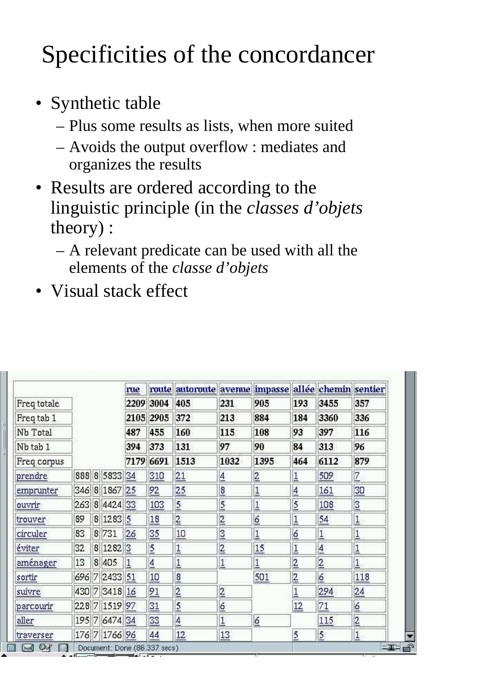# Specificities of the concordancer

- Synthetic table
	- Plus some results as lists, when more suited
	- – Avoids the output overflow : mediates and organizes the results
- Results are ordered according to the linguistic principle (in the *classes d'objets* theory) :
	- A relevant predicate can be used with all the elements of the *classe d'objets*
- Visual stack effect

|             |    |               | rue  |                | route autoroute avenue impasse allée chemin sentier |                  |                 |                  |                |                  |
|-------------|----|---------------|------|----------------|-----------------------------------------------------|------------------|-----------------|------------------|----------------|------------------|
| Freq totale |    |               |      | 2209 3004      | 405                                                 | 231              | 905             | 193              | 3455           | 357              |
| Freq tab 1  |    |               | 2105 | 2905           | 372                                                 | 213              | 884             | 184              | 3360           | 336              |
| Nb Total    |    |               | 487  | 455            | 160                                                 | 115              | 108             | 93               | 397            | 116              |
| Nb tab 1    |    |               | 394  | 373            | 131                                                 | 97               | 90              | 84               | 313            | 96               |
| Freq corpus |    |               | 7179 | 6691           | 1513                                                | 1032             | 1395            | 464              | 6112           | 879              |
| prendre     |    | 888 8 5833 34 |      | 310            | 21                                                  | $\overline{4}$   | $\overline{2}$  | $\overline{1}$   | 509            | $\overline{Z}$   |
| emprunter   |    | 346 8 1867 25 |      | 92             | 25                                                  | $\overline{8}$   | $\overline{1}$  | $\overline{4}$   | 161            | 30               |
| ouvrir      |    | 263 8 4424 33 |      | 103            | $\overline{5}$                                      | $\overline{5}$   | $\underline{1}$ | $\overline{5}$   | 108            | $\overline{3}$   |
| trouver     | 89 | 8 1283 5      |      | 18             | $\overline{2}$                                      | $\overline{2}$   | $\overline{6}$  | $\overline{1}$   | 54             | $\overline{1}$   |
| circuler    | 83 | 8 731         | 26   | 35             | 10                                                  | $\overline{3}$   | $\overline{1}$  | $6 \overline{6}$ | $\overline{1}$ | $\overline{1}$   |
| éviter      | 32 | 8 1282 3      |      | $\overline{5}$ | $\overline{1}$                                      | $\overline{2}$   | 15              | $\overline{1}$   | $\overline{4}$ | $\overline{1}$   |
| aménager    | 13 | 8 4 0 5       | 1    | $\overline{4}$ | $\overline{1}$                                      | $\overline{1}$   | $\overline{1}$  | $\overline{2}$   | $\overline{2}$ | $\overline{1}$   |
| sortir      |    | 696 7 2433 51 |      | 10             | $\overline{8}$                                      |                  | 501             | $\overline{2}$   | 6              | 118              |
| suivre      |    | 430 7 3418 16 |      | 91             | $\overline{2}$                                      | $\overline{2}$   |                 | $\overline{1}$   | 294            | 24               |
| parcourir   |    | 228 7 1519 97 |      | 31             | $\overline{5}$                                      | $6 \overline{6}$ |                 | $12 \n$          | 71             | $6 \overline{6}$ |
| aller       |    | 195 7 6474 34 |      | 33             | $\overline{\mathbf{4}}$                             | $\overline{1}$   | 6               |                  | 115            | $\overline{2}$   |
| traverser   |    | 176 7 1766 96 |      | 44             | 12                                                  | 13               |                 | 5                | $\overline{5}$ | $\mathbf{I}$     |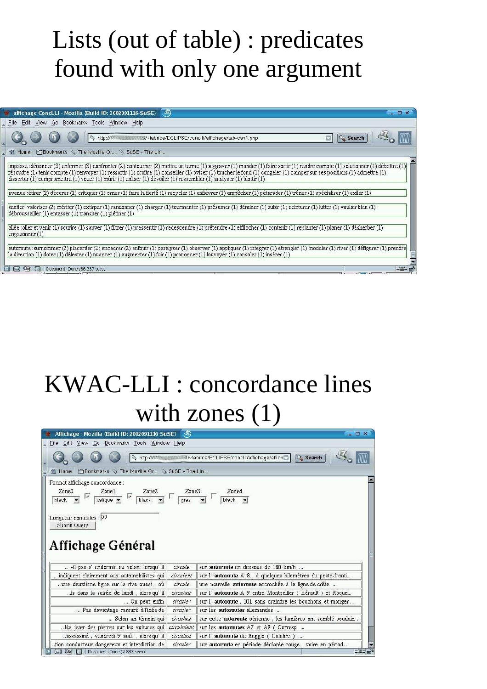### Lists (out of table) : predicates found with only one argumen<sup>t</sup>

| affichage ConcLLI - Mozilla (Build ID: 2002091116-SuSE) 9                                                                                                                                                                                                                                                                                                                                                                                                                                                                                                                                                                                                                                                                                                                                                                                                                                  | $ \Box$ $\times$ |
|--------------------------------------------------------------------------------------------------------------------------------------------------------------------------------------------------------------------------------------------------------------------------------------------------------------------------------------------------------------------------------------------------------------------------------------------------------------------------------------------------------------------------------------------------------------------------------------------------------------------------------------------------------------------------------------------------------------------------------------------------------------------------------------------------------------------------------------------------------------------------------------------|------------------|
| Edit View Go Bookmarks Tools Window Help<br>File                                                                                                                                                                                                                                                                                                                                                                                                                                                                                                                                                                                                                                                                                                                                                                                                                                           |                  |
| $\Box$                                                                                                                                                                                                                                                                                                                                                                                                                                                                                                                                                                                                                                                                                                                                                                                                                                                                                     | <b>Q</b> Search  |
| <b>Exportments</b> & The Mozilla Or & SuSE - The Lin<br>Home                                                                                                                                                                                                                                                                                                                                                                                                                                                                                                                                                                                                                                                                                                                                                                                                                               |                  |
| impasse : dénoncer (3) enfermer (3) confronter (2) contourner (2) mettre un terme (1) aggraver (1) monder (1) faire sortir (1) rendre compte (1) solutionner (1) débattre (1)<br>(1) reformed (1) tenir compte (1) renvoyer (1) ressortir (1) croître (1) conseiller (1) aviser (1) toucher le fond (1) congeler (1) camper sur ses positions (1) admettre (1) reformed (1) camper sur ses positions (1) admett<br> disserter (1) compromettre (1) vouer (1) mûrir (1) enliser (1) dévoiler (1) ressembler (1) analyser (1) blottir (1)<br>avenue :étirer (2) décorer (1) critiquer (1) orner (1) faire la fierté (1) recycler (1) enfiévrer (1) empêcher (1) pétarader (1) trôner (1) spécialiser (1) exiler (1)<br>sentier :valoriser (2) mériter (1) extirper (1) randonner (1) charger (1) tourmenter (1) présumer (1) déminer (1) subir (1) ceinturer (1) lutter (1) vouloir bien (1) | $\blacktriangle$ |
| débroussailler (1) entasser (1) transiter (1) piétiner (1)                                                                                                                                                                                                                                                                                                                                                                                                                                                                                                                                                                                                                                                                                                                                                                                                                                 |                  |
| allée :aller et venir (1) sourire (1) sauver (1) filtrer (1) pressentir (1) redescendre (1) prétendre (1) effilocher (1) contenir (1) replanter (1) planer (1) désherber (1)<br>engazomner(1)                                                                                                                                                                                                                                                                                                                                                                                                                                                                                                                                                                                                                                                                                              |                  |
| autoroute : surnommer (2) placarder (2) encadrer (2) enfouir (1) paralyser (1) observer (1) appliquer (1) intégrer (1) étrangler (1) moduler (1) river (1) défigurer (1) prendre<br>la direction (1) doter (1) délester (1) nuancer (1) augmenter (1) fuir (1) prononcer (1) louvoyer (1) consoler (1) insérer (1)                                                                                                                                                                                                                                                                                                                                                                                                                                                                                                                                                                         |                  |
| $\boxtimes$ or<br>n<br>Document: Done (86.337 secs)                                                                                                                                                                                                                                                                                                                                                                                                                                                                                                                                                                                                                                                                                                                                                                                                                                        | $-1$ $-$         |

## KWAC-LLI : concordance lines with zones  $(1)$